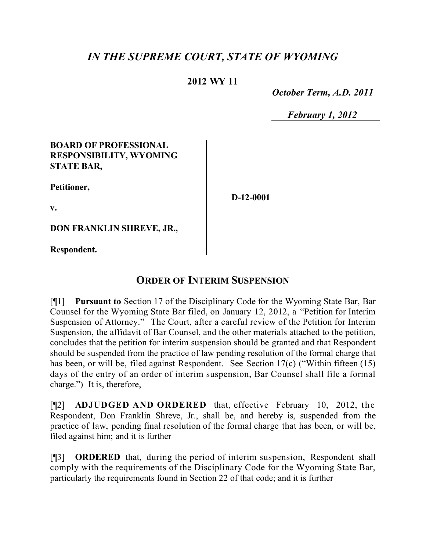# *IN THE SUPREME COURT, STATE OF WYOMING*

### **2012 WY 11**

 *October Term, A.D. 2011*

 *February 1, 2012*

#### **BOARD OF PROFESSIONAL RESPONSIBILITY, WYOMING STATE BAR,**

**Petitioner,**

**D-12-0001**

**v.**

**DON FRANKLIN SHREVE, JR.,**

**Respondent.**

## **ORDER OF INTERIM SUSPENSION**

[¶1] **Pursuant to** Section 17 of the Disciplinary Code for the Wyoming State Bar, Bar Counsel for the Wyoming State Bar filed, on January 12, 2012, a "Petition for Interim Suspension of Attorney." The Court, after a careful review of the Petition for Interim Suspension, the affidavit of Bar Counsel, and the other materials attached to the petition, concludes that the petition for interim suspension should be granted and that Respondent should be suspended from the practice of law pending resolution of the formal charge that has been, or will be, filed against Respondent. See Section 17(c) ("Within fifteen (15) days of the entry of an order of interim suspension, Bar Counsel shall file a formal charge.") It is, therefore,

[¶2] **ADJUDGED AND ORDERED** that, effective February 10, 2012, the Respondent, Don Franklin Shreve, Jr., shall be, and hereby is, suspended from the practice of law, pending final resolution of the formal charge that has been, or will be, filed against him; and it is further

[¶3] **ORDERED** that, during the period of interim suspension, Respondent shall comply with the requirements of the Disciplinary Code for the Wyoming State Bar, particularly the requirements found in Section 22 of that code; and it is further